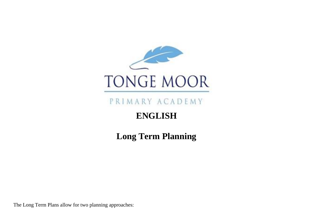

PRIMARY ACADEMY

# **ENGLISH**

**Long Term Planning**

The Long Term Plans allow for two planning approaches: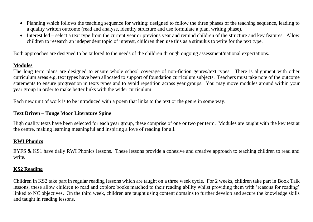- Planning which follows the teaching sequence for writing: designed to follow the three phases of the teaching sequence, leading to a quality written outcome (read and analyse, identify structure and use formulate a plan, writing phase).
- Interest led select a text type from the current year or previous year and remind children of the structure and key features. Allow children to research an independent topic of interest, children then use this as a stimulus to write for the text type.

Both approaches are designed to be tailored to the needs of the children through ongoing assessment/national expectations.

# **Modules**

The long term plans are designed to ensure whole school coverage of non-fiction genres/text types. There is alignment with other curriculum areas e.g. text types have been allocated to support of foundation curriculum subjects. Teachers must take note of the outcome statements to ensure progression in texts types and to avoid repetition across year groups. You may move modules around within your year group in order to make better links with the wider curriculum.

Each new unit of work is to be introduced with a poem that links to the text or the genre in some way.

# **Text Driven – Tonge Moor Literature Spine**

High quality texts have been selected for each year group, these comprise of one or two per term. Modules are taught with the key text at the centre, making learning meaningful and inspiring a love of reading for all.

# **RWI Phonics**

EYFS & KS1 have daily RWI Phonics lessons. These lessons provide a cohesive and creative approach to teaching children to read and write.

# **KS2 Reading**

Children in KS2 take part in regular reading lessons which are taught on a three week cycle. For 2 weeks, children take part in Book Talk lessons, these allow children to read and explore books matched to their reading ability whilst providing them with 'reasons for reading' linked to NC objectives. On the third week, children are taught using content domains to further develop and secure the knowledge skills and taught in reading lessons.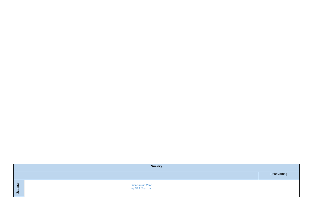|                                 | <b>Nursery</b>                        |             |
|---------------------------------|---------------------------------------|-------------|
|                                 |                                       | Handwriting |
| <b>i</b> g<br>Ξ<br>$\mathbf{S}$ | Shark in the Park<br>by Nick Sharratt |             |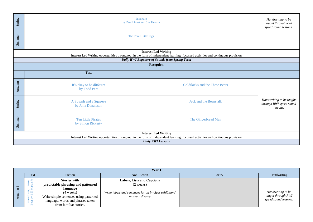| Spring | Supertato<br>by Paul Linnet and Sue Hendra                                                                                                                     |                                                                                                                                                                |                                                                 |  |  |
|--------|----------------------------------------------------------------------------------------------------------------------------------------------------------------|----------------------------------------------------------------------------------------------------------------------------------------------------------------|-----------------------------------------------------------------|--|--|
| Summer | The Three Little Pigs                                                                                                                                          |                                                                                                                                                                |                                                                 |  |  |
|        |                                                                                                                                                                | <b>Interest Led Writing</b><br>Interest Led Writing opportunities throughout in the form of independent learning, focussed activities and continuous provision |                                                                 |  |  |
|        |                                                                                                                                                                | Daily RWI Exposure of Sounds from Spring Term                                                                                                                  |                                                                 |  |  |
|        |                                                                                                                                                                | Reception                                                                                                                                                      |                                                                 |  |  |
|        | Text                                                                                                                                                           |                                                                                                                                                                |                                                                 |  |  |
| Autumn | It's okay to be different<br>by Todd Parr                                                                                                                      | Goldilocks and the Three Bears                                                                                                                                 |                                                                 |  |  |
| Spring | A Squash and a Squeeze<br>by Julia Donaldson                                                                                                                   | <b>Jack and the Beanstalk</b>                                                                                                                                  | Handwriting to be taught<br>through RWI speed sound<br>lessons. |  |  |
| Summer | <b>Ten Little Pirates</b><br>by Simon Rickerty                                                                                                                 | The Gingerbread Man                                                                                                                                            |                                                                 |  |  |
|        | <b>Interest Led Writing</b><br>Interest Led Writing opportunities throughout in the form of independent learning, focussed activities and continuous provision |                                                                                                                                                                |                                                                 |  |  |
|        |                                                                                                                                                                | <b>Daily RWI Lessons</b>                                                                                                                                       |                                                                 |  |  |

|                          | Year 1                       |                                        |                                                        |        |                      |  |  |
|--------------------------|------------------------------|----------------------------------------|--------------------------------------------------------|--------|----------------------|--|--|
|                          | Text                         | Fiction                                | Non-Fiction                                            | Poetry | Handwriting          |  |  |
|                          | $\blacksquare$               | <b>Stories with</b>                    | <b>Labels, Lists and Captions</b>                      |        |                      |  |  |
| $\overline{\phantom{0}}$ | άñ                           | predictable phrasing and patterned     | $(2 \text{ weeks})$                                    |        |                      |  |  |
|                          |                              | language                               |                                                        |        |                      |  |  |
|                          | $\equiv$<br>$B \overline{a}$ | $(4 \text{ weeks})$                    | Write labels and sentences for an in-class exhibition/ |        | Handwriting to be    |  |  |
|                          | $E \geq$                     | Write simple sentences using patterned | museum display                                         |        | taught through RWI   |  |  |
|                          | ىد<br>Bear                   | language, words and phrases taken      |                                                        |        | speed sound lessons. |  |  |
|                          |                              | from familiar stories.                 |                                                        |        |                      |  |  |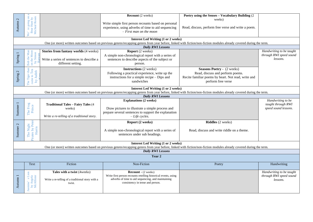| $\mathbb{C}$        |                                                     |                                                  | <b>Recount</b> (2 weeks)                                                      | Poetry using the Senses - Vocabulary Building (2)<br>weeks)                                                                                                         |                                                     |
|---------------------|-----------------------------------------------------|--------------------------------------------------|-------------------------------------------------------------------------------|---------------------------------------------------------------------------------------------------------------------------------------------------------------------|-----------------------------------------------------|
| Autumn              | going on<br>Micheal Rosen<br>Bear Hunt by           |                                                  | Write simple first person recounts based on personal                          |                                                                                                                                                                     |                                                     |
|                     | re;                                                 |                                                  | experience, using adverbs of time to aid sequencing                           | Read, discuss, perform free verse and write a poem.                                                                                                                 |                                                     |
|                     | .<br>و                                              |                                                  | $- First$ man on the moon                                                     |                                                                                                                                                                     |                                                     |
|                     |                                                     |                                                  | <b>Interest Led Writing (1 or 2 weeks)</b>                                    |                                                                                                                                                                     |                                                     |
|                     |                                                     |                                                  |                                                                               | One (or more) written outcomes based on previous genres/recapping genres from year before, linked with fiction/non-fiction modules already covered during the term. |                                                     |
|                     |                                                     |                                                  | <b>Daily RWI Lessons</b>                                                      |                                                                                                                                                                     |                                                     |
|                     |                                                     | Stories from fantasy worlds (4 weeks)            | <b>Report</b> (2 weeks)<br>A simple non-chronological report with a series of |                                                                                                                                                                     | Handwriting to be taught<br>through RWI speed sound |
| Spring 1            |                                                     | Write a series of sentences to describe a        | sentences to describe aspects of the subject or                               |                                                                                                                                                                     | lessons.                                            |
|                     | Bob the Man<br>on the Moon<br>by Simon              | different setting.                               | person.                                                                       |                                                                                                                                                                     |                                                     |
|                     |                                                     |                                                  | <b>Instructions</b> (2 weeks)                                                 | <b>Seasons Poetry - (2 weeks)</b>                                                                                                                                   |                                                     |
| Spring 2            |                                                     |                                                  | Following a practical experience, write up the                                | Read, discuss and perform poems.                                                                                                                                    |                                                     |
|                     |                                                     |                                                  | instructions for a simple recipe – Dips and                                   | Recite familiar poems by heart. Not read, write and                                                                                                                 |                                                     |
|                     | The Tiger than<br>came to Tea<br>by Judith          |                                                  | sandwiches                                                                    | perform free verse                                                                                                                                                  |                                                     |
|                     |                                                     |                                                  | <b>Interest Led Writing (1 or 2 weeks)</b>                                    |                                                                                                                                                                     |                                                     |
|                     |                                                     |                                                  |                                                                               | One (or more) written outcomes based on previous genres/recapping genres from year before, linked with fiction/non-fiction modules already covered during the term. |                                                     |
|                     |                                                     |                                                  | <b>Daily RWI Lessons</b>                                                      |                                                                                                                                                                     |                                                     |
|                     |                                                     |                                                  | <b>Explanations (2 weeks)</b>                                                 |                                                                                                                                                                     | Handwriting to be                                   |
|                     |                                                     | <b>Traditional Tales - Fairy Tales (4)</b>       |                                                                               |                                                                                                                                                                     | taught through RWI                                  |
| Summer 1            | The Frog<br>Prince                                  | weeks)                                           | Draw pictures to illustrate a simple process and                              |                                                                                                                                                                     | speed sound lessons.                                |
|                     |                                                     | Write a re-telling of a traditional story.       | prepare several sentences to support the explanation<br>$-Life$ cycles.       |                                                                                                                                                                     |                                                     |
|                     |                                                     |                                                  |                                                                               |                                                                                                                                                                     |                                                     |
|                     | The Night<br>rates by Peter<br>Harris               |                                                  | Report (2 weeks)                                                              | Riddles (2 weeks)                                                                                                                                                   |                                                     |
|                     |                                                     |                                                  | A simple non-chronological report with a series of                            | Read, discuss and write riddle on a theme.                                                                                                                          |                                                     |
| Summer <sub>2</sub> |                                                     |                                                  | sentences under sub headings.                                                 |                                                                                                                                                                     |                                                     |
|                     | <b>Pirates</b>                                      |                                                  |                                                                               |                                                                                                                                                                     |                                                     |
|                     |                                                     |                                                  | <b>Interest Led Writing (1 or 2 weeks)</b>                                    |                                                                                                                                                                     |                                                     |
|                     |                                                     |                                                  |                                                                               | One (or more) written outcomes based on previous genres/recapping genres from year before, linked with fiction/non-fiction modules already covered during the term. |                                                     |
|                     |                                                     |                                                  | <b>Daily RWI Lessons</b>                                                      |                                                                                                                                                                     |                                                     |
|                     |                                                     |                                                  | Year 2                                                                        |                                                                                                                                                                     |                                                     |
|                     | Text                                                | Fiction                                          | Non-Fiction                                                                   | Poetry                                                                                                                                                              | Handwriting                                         |
|                     |                                                     | Tales with a twist (4weeks)                      | <b>Recount - (2 weeks)</b>                                                    |                                                                                                                                                                     | Handwriting to be taught                            |
|                     |                                                     |                                                  | Write first person recounts retelling historical events, using                |                                                                                                                                                                     | through RWI speed sound                             |
|                     |                                                     | Write a re-telling of a traditional story with a | adverbs of time to aid sequencing, and maintaining                            |                                                                                                                                                                     | lessons.                                            |
| Autumn 1            | smine' s Lion<br>by Angela<br>McAllister<br>asmine' | twist.                                           | consistency in tense and person.                                              |                                                                                                                                                                     |                                                     |
|                     |                                                     |                                                  |                                                                               |                                                                                                                                                                     |                                                     |
|                     |                                                     |                                                  |                                                                               |                                                                                                                                                                     |                                                     |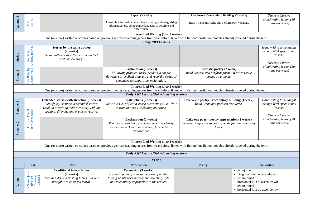| Autumn 2            | Express<br>Polar                                                                                                                                                                                                  |                                                                                                                                                                                         | <b>Report</b> (3 weeks)<br>Assemble information on a subject, sorting and categorising<br>information; use comparative language to describe and<br>differentiate                                                 | List Poems - Vocabulary Building (2 weeks)<br>Read list poems. Write and perform own versions.                    |                                                                                                                                                   | Discrete Cursive<br>Handwriting lesson (30<br>mins per week)                                                  |  |  |
|---------------------|-------------------------------------------------------------------------------------------------------------------------------------------------------------------------------------------------------------------|-----------------------------------------------------------------------------------------------------------------------------------------------------------------------------------------|------------------------------------------------------------------------------------------------------------------------------------------------------------------------------------------------------------------|-------------------------------------------------------------------------------------------------------------------|---------------------------------------------------------------------------------------------------------------------------------------------------|---------------------------------------------------------------------------------------------------------------|--|--|
|                     | <b>Interest Led Writing (1 or 2 weeks)</b>                                                                                                                                                                        |                                                                                                                                                                                         |                                                                                                                                                                                                                  |                                                                                                                   |                                                                                                                                                   |                                                                                                               |  |  |
|                     |                                                                                                                                                                                                                   |                                                                                                                                                                                         | One (or more) written outcomes based on previous genres/recapping genres from year before, linked with fiction/non-fiction modules already covered during the term.                                              |                                                                                                                   |                                                                                                                                                   |                                                                                                               |  |  |
|                     |                                                                                                                                                                                                                   |                                                                                                                                                                                         | <b>Daily RWI Lessons</b>                                                                                                                                                                                         |                                                                                                                   |                                                                                                                                                   |                                                                                                               |  |  |
| Spring 1            | Gorilla by<br>Anthony Browne                                                                                                                                                                                      | Stories by the same author<br>$(4 \text{ weeks})$<br>Use an author's style/theme as a model to<br>write a new story.                                                                    |                                                                                                                                                                                                                  |                                                                                                                   |                                                                                                                                                   | Handwriting to be taught<br>through RWI speed sound<br>lessons.<br>Discrete Cursive<br>Handwriting lesson (30 |  |  |
| Spring 2            | Bog Baby By<br>Jeanne Willis                                                                                                                                                                                      |                                                                                                                                                                                         | <b>Explanation (3 weeks)</b><br>Following practical tasks, produce a simple<br>flowchart or cyclical diagram and record a series of<br>sentences to support the explanation.                                     | Acrostic poetry (2 week)<br>Read, discuss and perform poems. Write acrostic<br>poems on a theme.                  |                                                                                                                                                   | mins per week)                                                                                                |  |  |
|                     |                                                                                                                                                                                                                   |                                                                                                                                                                                         | <b>Interest Led Writing (1 or 2 weeks)</b>                                                                                                                                                                       |                                                                                                                   |                                                                                                                                                   |                                                                                                               |  |  |
|                     |                                                                                                                                                                                                                   |                                                                                                                                                                                         | One (or more) written outcomes based on previous genres/recapping genres from year before, linked with fiction/non-fiction modules already covered during the term.<br>Daily RWI Lessons/Guided reading sessions |                                                                                                                   |                                                                                                                                                   |                                                                                                               |  |  |
|                     |                                                                                                                                                                                                                   |                                                                                                                                                                                         |                                                                                                                                                                                                                  |                                                                                                                   |                                                                                                                                                   |                                                                                                               |  |  |
| Summer 1            |                                                                                                                                                                                                                   | <b>Extended stories with structure (3 weeks)</b><br>Identify key sections in extended stories.<br>Lead on to writing their own story with an<br>opening, dilemma and events to resolve. | <b>Instructions (2 weeks)</b><br>Write a series of fiction-based instructions (i.e. 'How<br>to trap an ogre'), including diagrams.                                                                               | Free verse poetry - vocabulary building (1 week)<br>Read, write and perform free verse.                           |                                                                                                                                                   | Handwriting to be taught<br>through RWI speed sound<br>lessons.<br>Discrete Cursive                           |  |  |
| Summer 2            | Lost and Found<br>By Oliver Jeffers                                                                                                                                                                               |                                                                                                                                                                                         | <b>Explanation (2 weeks)</b><br>Produce a flowchart, ensuring content is clearly<br>sequenced - How to read a map, how to be an<br>explorer etc.                                                                 | Take one poet – poetry appreciation (2 weeks)<br>Personal responses to poetry, recite familiar poems by<br>heart. |                                                                                                                                                   | Handwriting lesson (30<br>mins per week)                                                                      |  |  |
|                     | <b>Interest Led Writing (1 or 2 weeks)</b><br>One (or more) written outcomes based on previous genres/recapping genres from year before, linked with fiction/non-fiction modules already covered during the term. |                                                                                                                                                                                         |                                                                                                                                                                                                                  |                                                                                                                   |                                                                                                                                                   |                                                                                                               |  |  |
|                     | Daily RWI Lessons/Guided reading sessions                                                                                                                                                                         |                                                                                                                                                                                         |                                                                                                                                                                                                                  |                                                                                                                   |                                                                                                                                                   |                                                                                                               |  |  |
|                     | Year 3                                                                                                                                                                                                            |                                                                                                                                                                                         |                                                                                                                                                                                                                  |                                                                                                                   |                                                                                                                                                   |                                                                                                               |  |  |
|                     | Text                                                                                                                                                                                                              | Fiction                                                                                                                                                                                 | Non-Fiction                                                                                                                                                                                                      | Poetry                                                                                                            |                                                                                                                                                   | Handwriting                                                                                                   |  |  |
| Autumn <sub>1</sub> | The Snow Queen<br>By Hans<br>Christian                                                                                                                                                                            | <b>Traditional tales - fables</b><br>$(4 \text{ weeks})$<br>Read and discuss existing fables. Write a<br>new fable to convey a moral.                                                   | <b>Persuasion (3 weeks)</b><br>Present a point of view in the form of a letter<br>linking points persuasively and selecting style<br>and vocabulary appropriate to the reader.                                   |                                                                                                                   | ai unjoined<br>Diagonal join no ascender ai<br>• wh unjoined<br>horizontal join to ascender wh<br>ow unjoined<br>• horizontal join no ascender ow |                                                                                                               |  |  |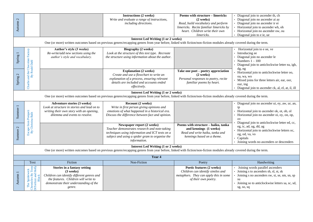| Autumn 2            |                                                                                                                                                                                                                   |                                                                                                                                                                                     | <b>Instructions (2 weeks)</b><br>Write and evaluate a range of instructions,<br>including directions.                                                                                                             | Poems with structure - limericks<br>(2 weeks)<br>Read, build vocabulary and perform<br>limericks. Recite familiar limericks by<br>heart. Children write their own<br>limericks. | Diagonal join to ascender th, ch<br>Diagonal join no ascender ai ay<br>Diagonal join no ascender ir er<br>Horizontal join to ascender wh, oh<br>Horizontal join no ascender ow, ou<br>Diagonal join to e ie, ue |  |  |
|---------------------|-------------------------------------------------------------------------------------------------------------------------------------------------------------------------------------------------------------------|-------------------------------------------------------------------------------------------------------------------------------------------------------------------------------------|-------------------------------------------------------------------------------------------------------------------------------------------------------------------------------------------------------------------|---------------------------------------------------------------------------------------------------------------------------------------------------------------------------------|-----------------------------------------------------------------------------------------------------------------------------------------------------------------------------------------------------------------|--|--|
|                     |                                                                                                                                                                                                                   |                                                                                                                                                                                     | <b>Interest Led Writing (1 or 2 weeks)</b><br>One (or more) written outcomes based on previous genres/recapping genres from year before, linked with fiction/non-fiction modules already covered during the term. |                                                                                                                                                                                 |                                                                                                                                                                                                                 |  |  |
| Spring 1            |                                                                                                                                                                                                                   | Author's style (3 weeks)<br>Re-write/add new sections using the<br>author's style and vocabulary.                                                                                   | Biography (2 weeks)<br>Look at the structure of this text type. Recreate<br>the structure using information about the author.                                                                                     |                                                                                                                                                                                 | Horizontal join to e oe, ve<br>Introducing ee<br>Diagonal join no ascender le<br>Numbers $1 - 100$<br>Diagonal join to anticlockwise letter ea, igh,                                                            |  |  |
| Spring 2            | Charlie and the Chocolate Factory<br>By Roald Dahl                                                                                                                                                                |                                                                                                                                                                                     | <b>Explanation (2 weeks)</b><br>Create and use a flowchart to write an<br>explanation of a process, ensuring relevant<br>details are included and accounts ended<br>effectively.                                  | Take one poet - poetry appreciation<br>$(2$ weeks)<br>Personal responses to poetry, recite<br>familiar poems by heart.                                                          | dg, ng<br>Horizontal join to anticlockwise letter oo,<br>oa, wa, wo<br>Mixed joins for three letters air, ear, oor,<br>our, ing<br>Diagonal join to ascender ck, al, el, at, il, ill                            |  |  |
|                     | <b>Interest Led Writing (1 or 2 weeks)</b><br>One (or more) written outcomes based on previous genres/recapping genres from year before, linked with fiction/non-fiction modules already covered during the term. |                                                                                                                                                                                     |                                                                                                                                                                                                                   |                                                                                                                                                                                 |                                                                                                                                                                                                                 |  |  |
| Summer 1            |                                                                                                                                                                                                                   | <b>Adventure stories (3 weeks)</b><br>Look at structure in stories and lead on to<br>writing their own story with an opening,<br>dilemma and events to resolve.                     | Recount (2 weeks)<br>Write in first person giving opinions and<br>emotions of what happened in a historical era.<br>Discuss the difference between fact and opinion.                                              |                                                                                                                                                                                 | Diagonal join no ascender ui, ey, aw, ur, an,<br>ip<br>Horizontal join to ascender ok, ot, ob, ol<br>Horizontal join no ascender oi, oy, on, op,<br>O <sub>V</sub>                                              |  |  |
| Summer <sub>2</sub> | Escape from Pompeii<br>By Christina Balit                                                                                                                                                                         |                                                                                                                                                                                     | Newspaper report (2 weeks)<br>Teacher demonstrates research and note-taking<br>techniques using information and ICT texts on a<br>subject and using a spider gram to organise the<br>information.                 | Poems with structure - haiku, tanka<br>and kennings (1 weeks)<br>Read and write haiku, tanka and<br>kennings based on a theme.                                                  | Diagonal join to anticlockwise letter ed, cc,<br>eg, ic, ad, ug, dd, ag<br>Horizontal join to anticlockwise letters oc,<br>og, od, va, vo<br>Capitals<br>Joining words no ascenders or descenders               |  |  |
|                     | <b>Interest Led Writing (1 or 2 weeks)</b><br>One (or more) written outcomes based on previous genres/recapping genres from year before, linked with fiction/non-fiction modules already covered during the term. |                                                                                                                                                                                     |                                                                                                                                                                                                                   |                                                                                                                                                                                 |                                                                                                                                                                                                                 |  |  |
|                     |                                                                                                                                                                                                                   |                                                                                                                                                                                     | Year 4                                                                                                                                                                                                            |                                                                                                                                                                                 |                                                                                                                                                                                                                 |  |  |
|                     | Text                                                                                                                                                                                                              | Fiction                                                                                                                                                                             | Non-Fiction                                                                                                                                                                                                       | Poetry                                                                                                                                                                          | Handwriting                                                                                                                                                                                                     |  |  |
| Autumn              | Chronicles By Tony<br>DiTerlizzi and Holly<br>Black<br>The Spiderwick                                                                                                                                             | Stories in a fantasy setting<br>(3 weeks)<br>Children can identify different genres and<br>the features. Children will write to<br>demonstrate their understanding of the<br>genre. |                                                                                                                                                                                                                   | Poetic features (2 weeks)<br>Children can identify similes and<br>metaphors. They can apply this in some<br>of their own poetry.                                                | Joining words parallel ascenders<br>Joining s to ascenders sh, sl, st, sk<br>Joining s no ascenders sw, si, se, sm, sn, sp<br>su<br>Joining so to anticlockwise letters sa, sc, sd,<br>sg, so, sq               |  |  |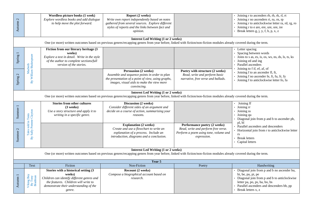| Autumn <sub>2</sub> |                                                                                                                                                                                                                   | Wordless picture books (1 week)<br>Explore wordless books and add dialogue<br>to help move the plot forward.                                                                             | Report (2 weeks)<br>Write own report independently based on notes<br>gathered from several sources. Explore different<br>styles of reports and the links between fact and<br>opinion.                             |                                                                                                                             | Joining r to ascenders rb, rh, rk, rl, rt<br>Joining r no ascenders ri, ru, rn, rp<br>· Joining r to anticlockwise letter ra, rd, rg, ro<br>Joining r to e are, ere, ure, ore, ire<br>Break letters g, j, y, f, b, p, x, z        |  |
|---------------------|-------------------------------------------------------------------------------------------------------------------------------------------------------------------------------------------------------------------|------------------------------------------------------------------------------------------------------------------------------------------------------------------------------------------|-------------------------------------------------------------------------------------------------------------------------------------------------------------------------------------------------------------------|-----------------------------------------------------------------------------------------------------------------------------|-----------------------------------------------------------------------------------------------------------------------------------------------------------------------------------------------------------------------------------|--|
|                     |                                                                                                                                                                                                                   |                                                                                                                                                                                          | <b>Interest Led Writing (1 or 2 weeks)</b><br>One (or more) written outcomes based on previous genres/recapping genres from year before, linked with fiction/non-fiction modules already covered during the term. |                                                                                                                             |                                                                                                                                                                                                                                   |  |
| Spring 1            | Macbeth<br>By William Shakespeare                                                                                                                                                                                 | Fiction from our literary heritage (3<br>weeks)<br>Explore a text in detail. Write in the style<br>of the author to complete sections/full<br>version of the stories.                    |                                                                                                                                                                                                                   |                                                                                                                             | Letter spacing<br>Spacing between words<br>Joins to s as, es, is, os, ws, ns, ds, ls, ts, ks<br>Joining ed and ing<br>Parallel ascenders<br>Joining to f if, ef, af, of                                                           |  |
| Spring 2            |                                                                                                                                                                                                                   |                                                                                                                                                                                          | <b>Persuasion (2 weeks)</b><br>Assemble and sequence points in order to plan<br>the presentation of a point of view, using graphs,<br>images, visual aids to make the view more<br>convincing.                    | Poetry with structure (2 weeks)<br>Read, write and perform basic<br>narrative, free verse and ballads.                      | Joining f to an ascender fl, ft,<br>Joining f no ascender fe, fi, fu, fr, fy<br>· Joining f to anticlockwise letter fo, fa                                                                                                        |  |
|                     |                                                                                                                                                                                                                   |                                                                                                                                                                                          | <b>Interest Led Writing (1 or 2 weeks)</b><br>One (or more) written outcomes based on previous genres/recapping genres from year before, linked with fiction/non-fiction modules already covered during the term. |                                                                                                                             |                                                                                                                                                                                                                                   |  |
| Summer <sub>1</sub> |                                                                                                                                                                                                                   | <b>Stories from other cultures</b><br>$(3$ weeks)<br>Use a story structure and apply it to<br>writing in a specific genre.                                                               | Discussion (2 weeks)<br>Consider different sides of an argument and<br>decide on a course of action, summarising your<br>reasons.                                                                                 |                                                                                                                             | Joining ff<br>Joining rr<br>• Joining ss<br>Joining qu<br>Diagonal join from p and b to ascender ph,                                                                                                                              |  |
| Summer <sub>2</sub> | Tales told in Tents<br>Sally Pomme Clayton<br>By                                                                                                                                                                  |                                                                                                                                                                                          | <b>Explanation (2 weeks)</b><br>Create and use a flowchart to write an<br>explanation of a process. Include an<br>introduction, diagrams and a conclusion.                                                        | Performance poetry (2 weeks)<br>Read, write and perform free verse.<br>Perform a poem using tone, volume and<br>expression. | pl, bl<br>Parallel ascenders and descenders<br>Horizontal join from r to anticlockwise letter<br>rs<br><b>Break letters</b><br>Capital letters                                                                                    |  |
|                     | <b>Interest Led Writing (1 or 2 weeks)</b><br>One (or more) written outcomes based on previous genres/recapping genres from year before, linked with fiction/non-fiction modules already covered during the term. |                                                                                                                                                                                          |                                                                                                                                                                                                                   |                                                                                                                             |                                                                                                                                                                                                                                   |  |
|                     |                                                                                                                                                                                                                   | Fiction                                                                                                                                                                                  | Year 5<br>Non-Fiction                                                                                                                                                                                             |                                                                                                                             |                                                                                                                                                                                                                                   |  |
| Autumn 1            | Text<br>Viking Boy<br>By Tony<br>Bradman                                                                                                                                                                          | Stories with a historical setting (3<br>weeks)<br>Children can identify different genres and<br>the features. Children will write to<br>demonstrate their understanding of the<br>genre. | Recount (2 weeks)<br>Compose a biographical account based on<br>research.                                                                                                                                         | Poetry                                                                                                                      | Handwriting<br>Diagonal join from p and b no ascender bu,<br>bi, be, pu, pi, pe<br>Diagonal join from p and b to anticlockwise<br>letter pa, po, ps, ba, bo, bs<br>Parallel ascenders and descenders bb, pp<br>Break letters x, z |  |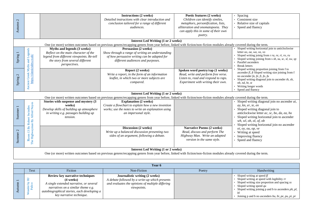| $\sim$<br>Autumn    |                                                                                                                                                                                                                   |                                                                                                                                                                              | <b>Instructions (2 weeks)</b><br>Detailed instructions with clear introduction and<br>conclusion tailored for a range of different<br><i>audiences.</i>                                                           | Poetic features (2 weeks)<br>Children can identify similes,<br>metaphors, personification, lists,<br>alliteration and onomatopoeia. They<br>can apply this in some of their own<br>poetry. | Spacing<br>Consistent size<br>Relative size of capitals<br>Speed and fluency                                                                                                                                                                                               |  |
|---------------------|-------------------------------------------------------------------------------------------------------------------------------------------------------------------------------------------------------------------|------------------------------------------------------------------------------------------------------------------------------------------------------------------------------|-------------------------------------------------------------------------------------------------------------------------------------------------------------------------------------------------------------------|--------------------------------------------------------------------------------------------------------------------------------------------------------------------------------------------|----------------------------------------------------------------------------------------------------------------------------------------------------------------------------------------------------------------------------------------------------------------------------|--|
|                     |                                                                                                                                                                                                                   |                                                                                                                                                                              | <b>Interest Led Writing (1 or 2 weeks)</b><br>One (or more) written outcomes based on previous genres/recapping genres from year before, linked with fiction/non-fiction modules already covered during the term. |                                                                                                                                                                                            |                                                                                                                                                                                                                                                                            |  |
| Spring              |                                                                                                                                                                                                                   | Myths and legends (3 weeks)<br>Reflect on the main character of the<br>legend from different viewpoints. Re-tell<br>the story from several different<br><i>perspectives.</i> | <b>Persuasion (2 weeks)</b><br>Show through a range of writing an understanding<br>of how persuasive writing can be adapted for<br>different audiences and purposes.                                              |                                                                                                                                                                                            | Sloped writing horizontal join to anticlockwise<br>letter oo, oa, wa, va, vo<br>Sloped writing joinig from r ra, re, ri, ro, ru<br>Sloped writing joining from s sh, su, sc, sl, sw, sp<br>Parallel ascenders<br><b>Break letters</b>                                      |  |
| Spring 2            | Ancient Greek Myths and Legends<br>https://classictales.co.uk/                                                                                                                                                    |                                                                                                                                                                              | Report (2 weeks)<br>Write a report, in the form of an information<br>leaflet, in which two or more subjects are<br>compared.                                                                                      | Spoken word poetry/rap (1 weeks)<br>Read, write and perform free verse.<br>Listen to, read and respond to raps.<br>Experiment with writing their own.                                      | Sloped writing proportion joining from f to<br>ascender $fl$ , $ft$ Sloped writing size joining from $f$<br>no ascender fa, fe, fi, fo, fu<br>Sloped writing diagonal join to ascender th, sh,<br>nb, nd, ht, st<br>Writing longer words<br>Speed and fluency              |  |
|                     |                                                                                                                                                                                                                   |                                                                                                                                                                              | <b>Interest Led Writing (1 or 2 weeks)</b><br>One (or more) written outcomes based on previous genres/recapping genres from year before, linked with fiction/non-fiction modules already covered during the term. |                                                                                                                                                                                            |                                                                                                                                                                                                                                                                            |  |
| Summer 1            | Room 13 By Robert Swindles<br>The Highwayman By Alfred Noyes                                                                                                                                                      | Stories with suspense and mystery (3<br>weeks)<br>Develop skills of building up atmosphere<br>in writing e.g. passages building up<br>tension.                               | <b>Explanation (2 weeks)</b><br>Create a flowchart to explain how a new invention<br>works; use the notes to write an explanation using<br>an impersonal style.                                                   |                                                                                                                                                                                            | Sloped writing diagonal join no ascender ai,<br>ay, kn, er, ie, en<br>Sloped writing diagonal join to<br>anticlockwise letter ac, sc, bo, da, ea, ho<br>Sloped writing horizontal join to ascender<br>wh, wl, oh, ol, of, ob<br>Sloped writing horizontal join no ascender |  |
| Summer <sub>2</sub> |                                                                                                                                                                                                                   |                                                                                                                                                                              | Discussion (2 weeks)<br>Write up a balanced discussion presenting two<br>sides of an argument, following a debate.                                                                                                | <b>Narrative Poems (2 weeks)</b><br>Read, discuss and perform The<br>Highway Man. Write an adapted<br>version in the same style.                                                           | oi, oy, ou, op, ve<br>Writing at speed<br>Improving fluency<br>Speed and fluency                                                                                                                                                                                           |  |
|                     | <b>Interest Led Writing (1 or 2 weeks)</b><br>One (or more) written outcomes based on previous genres/recapping genres from year before, linked with fiction/non-fiction modules already covered during the term. |                                                                                                                                                                              |                                                                                                                                                                                                                   |                                                                                                                                                                                            |                                                                                                                                                                                                                                                                            |  |

| Year 6               |                                                                                                                                                                                                                    |                                                                                                                                                            |        |                                                                                                                                                                                                                                                                      |  |  |
|----------------------|--------------------------------------------------------------------------------------------------------------------------------------------------------------------------------------------------------------------|------------------------------------------------------------------------------------------------------------------------------------------------------------|--------|----------------------------------------------------------------------------------------------------------------------------------------------------------------------------------------------------------------------------------------------------------------------|--|--|
| Text                 | Fiction                                                                                                                                                                                                            | Non-Fiction                                                                                                                                                | Poetry | Handwriting                                                                                                                                                                                                                                                          |  |  |
| ءِ ڇ<br>nder<br>Pali | Review key narrative techniques<br>$(4 \text{ weeks})$<br>A single extended narrative, or several<br>narratives on a similar theme e.g.<br>autobiographical stories, each developing a<br>key narrative technique. | Journalistic writing (2 weeks)<br>A debate followed by a write-up which presents<br>and evaluates the opinions of multiple differing<br><i>viewpoints.</i> |        | Sloped writing at speed $ff$<br>Sloped writing at speed with legibility rr<br>Sloped writing size proportion and spacing ss<br>Sloped writing speed qu<br>Sloped writing joining p and b to ascenders ph, pl,<br>Joining p and b no ascenders bu, bi, pe, pu, pi, pr |  |  |